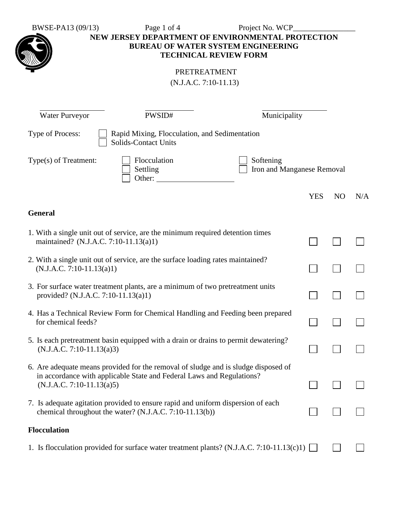BWSE-PA13 (09/13) Page 1 of 4 Project No. WCP\_\_\_\_\_\_\_\_\_\_\_\_\_\_\_\_



**NEW JERSEY DEPARTMENT OF ENVIRONMENTAL PROTECTION BUREAU OF WATER SYSTEM ENGINEERING TECHNICAL REVIEW FORM**

| PRETREATMENT            |
|-------------------------|
| $(N.J.A.C. 7:10-11.13)$ |

| <b>Water Purveyor</b>                                                                                                                                                                      | PWSID#                                                                                                                                      | Municipality                            |            |                |     |
|--------------------------------------------------------------------------------------------------------------------------------------------------------------------------------------------|---------------------------------------------------------------------------------------------------------------------------------------------|-----------------------------------------|------------|----------------|-----|
| Type of Process:                                                                                                                                                                           | Rapid Mixing, Flocculation, and Sedimentation<br><b>Solids-Contact Units</b>                                                                |                                         |            |                |     |
| Type(s) of Treatment:                                                                                                                                                                      | Flocculation<br>Settling<br>Other:                                                                                                          | Softening<br>Iron and Manganese Removal |            |                |     |
|                                                                                                                                                                                            |                                                                                                                                             |                                         | <b>YES</b> | N <sub>O</sub> | N/A |
| <b>General</b>                                                                                                                                                                             |                                                                                                                                             |                                         |            |                |     |
| maintained? (N.J.A.C. 7:10-11.13(a)1)                                                                                                                                                      | 1. With a single unit out of service, are the minimum required detention times                                                              |                                         |            |                |     |
| $(N.J.A.C. 7:10-11.13(a)1)$                                                                                                                                                                | 2. With a single unit out of service, are the surface loading rates maintained?                                                             |                                         |            |                |     |
| provided? (N.J.A.C. 7:10-11.13(a)1)                                                                                                                                                        | 3. For surface water treatment plants, are a minimum of two pretreatment units                                                              |                                         |            |                |     |
| for chemical feeds?                                                                                                                                                                        | 4. Has a Technical Review Form for Chemical Handling and Feeding been prepared                                                              |                                         |            |                |     |
| $(N.J.A.C. 7:10-11.13(a)3)$                                                                                                                                                                | 5. Is each pretreatment basin equipped with a drain or drains to permit dewatering?                                                         |                                         | $\sim$     |                |     |
| 6. Are adequate means provided for the removal of sludge and is sludge disposed of<br>in accordance with applicable State and Federal Laws and Regulations?<br>$(N.J.A.C. 7:10-11.13(a)5)$ |                                                                                                                                             |                                         |            |                |     |
|                                                                                                                                                                                            | 7. Is adequate agitation provided to ensure rapid and uniform dispersion of each<br>chemical throughout the water? (N.J.A.C. 7:10-11.13(b)) |                                         |            |                |     |
| <b>Flocculation</b>                                                                                                                                                                        |                                                                                                                                             |                                         |            |                |     |
|                                                                                                                                                                                            | 1. Is flocculation provided for surface water treatment plants? (N.J.A.C. 7:10-11.13(c)1)                                                   |                                         |            |                |     |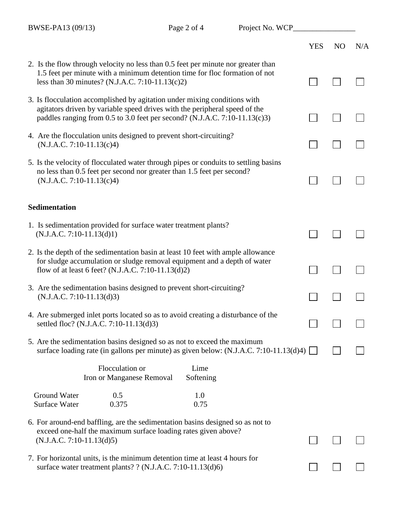|                                                                                                                                                                                                                                       | <b>YES</b> | N <sub>O</sub> | N/A |
|---------------------------------------------------------------------------------------------------------------------------------------------------------------------------------------------------------------------------------------|------------|----------------|-----|
| 2. Is the flow through velocity no less than 0.5 feet per minute nor greater than<br>1.5 feet per minute with a minimum detention time for floc formation of not<br>less than 30 minutes? (N.J.A.C. 7:10-11.13(c)2)                   |            |                |     |
| 3. Is flocculation accomplished by agitation under mixing conditions with<br>agitators driven by variable speed drives with the peripheral speed of the<br>paddles ranging from 0.5 to 3.0 feet per second? (N.J.A.C. 7:10-11.13(c)3) |            |                |     |
| 4. Are the flocculation units designed to prevent short-circuiting?<br>$(N.J.A.C. 7:10-11.13(c)4)$                                                                                                                                    |            |                |     |
| 5. Is the velocity of flocculated water through pipes or conduits to settling basins<br>no less than 0.5 feet per second nor greater than 1.5 feet per second?<br>$(N.J.A.C. 7:10-11.13(c)4)$                                         |            |                |     |
| <b>Sedimentation</b>                                                                                                                                                                                                                  |            |                |     |
| 1. Is sedimentation provided for surface water treatment plants?<br>$(N.J.A.C. 7:10-11.13(d)1)$                                                                                                                                       |            |                |     |
| 2. Is the depth of the sedimentation basin at least 10 feet with ample allowance<br>for sludge accumulation or sludge removal equipment and a depth of water<br>flow of at least 6 feet? (N.J.A.C. 7:10-11.13(d)2)                    |            |                |     |
| 3. Are the sedimentation basins designed to prevent short-circuiting?<br>$(N.J.A.C. 7:10-11.13(d)3)$                                                                                                                                  |            |                |     |
| 4. Are submerged inlet ports located so as to avoid creating a disturbance of the<br>settled floc? (N.J.A.C. 7:10-11.13(d)3)                                                                                                          |            |                |     |
| 5. Are the sedimentation basins designed so as not to exceed the maximum<br>surface loading rate (in gallons per minute) as given below: (N.J.A.C. 7:10-11.13(d)4) [                                                                  |            |                |     |
| Flocculation or<br>Lime<br>Softening<br>Iron or Manganese Removal                                                                                                                                                                     |            |                |     |
| <b>Ground Water</b><br>0.5<br>1.0<br>0.375<br>0.75<br><b>Surface Water</b>                                                                                                                                                            |            |                |     |
| 6. For around-end baffling, are the sedimentation basins designed so as not to<br>exceed one-half the maximum surface loading rates given above?<br>$(N.J.A.C. 7:10-11.13(d)5)$                                                       |            |                |     |
| 7. For horizontal units, is the minimum detention time at least 4 hours for<br>surface water treatment plants? ? (N.J.A.C. 7:10-11.13(d)6)                                                                                            |            |                |     |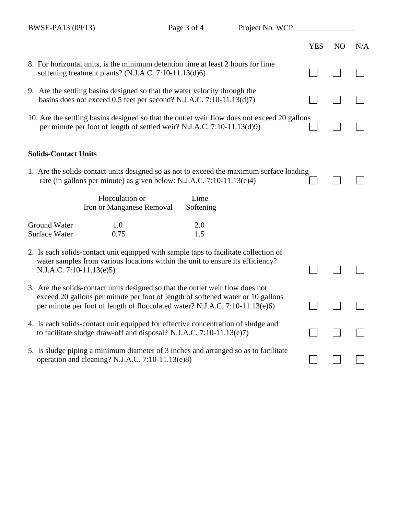|                                                                                                                                                           |                                                                                                                                                                                                                                                   |                   |  | <b>YES</b> | N <sub>O</sub> | N/A |
|-----------------------------------------------------------------------------------------------------------------------------------------------------------|---------------------------------------------------------------------------------------------------------------------------------------------------------------------------------------------------------------------------------------------------|-------------------|--|------------|----------------|-----|
|                                                                                                                                                           | 8. For horizontal units, is the minimum detention time at least 2 hours for lime<br>softening treatment plants? (N.J.A.C. 7:10-11.13(d)6)                                                                                                         |                   |  |            |                |     |
|                                                                                                                                                           | 9. Are the settling basins designed so that the water velocity through the<br>basins does not exceed 0.5 feet per second? N.J.A.C. 7:10-11.13(d)7)                                                                                                |                   |  |            |                |     |
|                                                                                                                                                           | 10. Are the settling basins designed so that the outlet weir flow does not exceed 20 gallons<br>per minute per foot of length of settled weir? N.J.A.C. 7:10-11.13(d)9)                                                                           |                   |  |            |                |     |
| <b>Solids-Contact Units</b>                                                                                                                               |                                                                                                                                                                                                                                                   |                   |  |            |                |     |
|                                                                                                                                                           | 1. Are the solids-contact units designed so as not to exceed the maximum surface loading<br>rate (in gallons per minute) as given below: N.J.A.C. 7:10-11.13(e)4)                                                                                 |                   |  |            |                |     |
|                                                                                                                                                           | Flocculation or<br>Iron or Manganese Removal                                                                                                                                                                                                      | Lime<br>Softening |  |            |                |     |
| <b>Ground Water</b><br><b>Surface Water</b>                                                                                                               | 1.0<br>0.75                                                                                                                                                                                                                                       | 2.0<br>1.5        |  |            |                |     |
| N.J.A.C. 7:10-11.13(e)5)                                                                                                                                  | 2. Is each solids-contact unit equipped with sample taps to facilitate collection of<br>water samples from various locations within the unit to ensure its efficiency?                                                                            |                   |  |            |                |     |
|                                                                                                                                                           | 3. Are the solids-contact units designed so that the outlet weir flow does not<br>exceed 20 gallons per minute per foot of length of softened water or 10 gallons<br>per minute per foot of length of flocculated water? N.J.A.C. 7:10-11.13(e)6) |                   |  |            |                |     |
| 4. Is each solids-contact unit equipped for effective concentration of sludge and<br>to facilitate sludge draw-off and disposal? N.J.A.C. 7:10-11.13(e)7) |                                                                                                                                                                                                                                                   |                   |  |            |                |     |
|                                                                                                                                                           | 5. Is sludge piping a minimum diameter of 3 inches and arranged so as to facilitate<br>operation and cleaning? N.J.A.C. 7:10-11.13(e)8)                                                                                                           |                   |  |            |                |     |